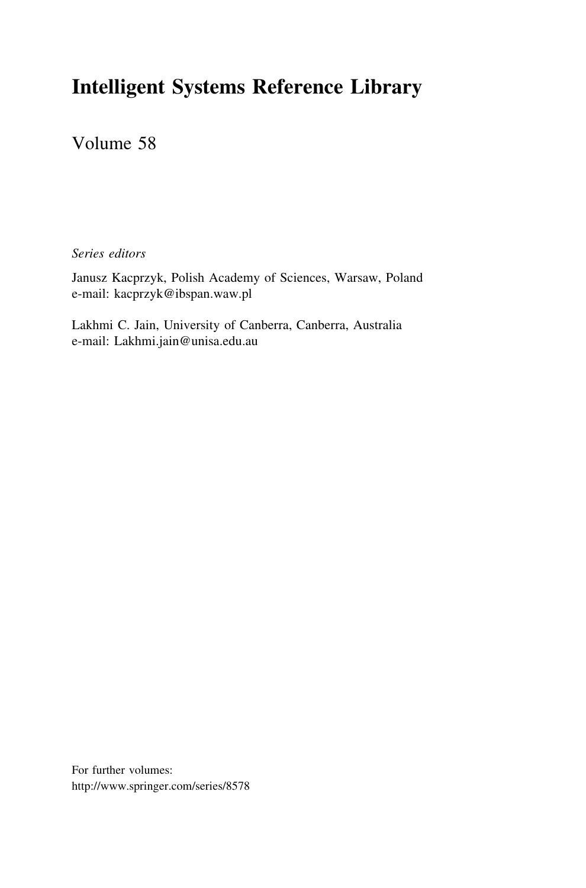# Intelligent Systems Reference Library

Volume 58

Series editors

Janusz Kacprzyk, Polish Academy of Sciences, Warsaw, Poland e-mail: kacprzyk@ibspan.waw.pl

Lakhmi C. Jain, University of Canberra, Canberra, Australia e-mail: Lakhmi.jain@unisa.edu.au

For further volumes: <http://www.springer.com/series/8578>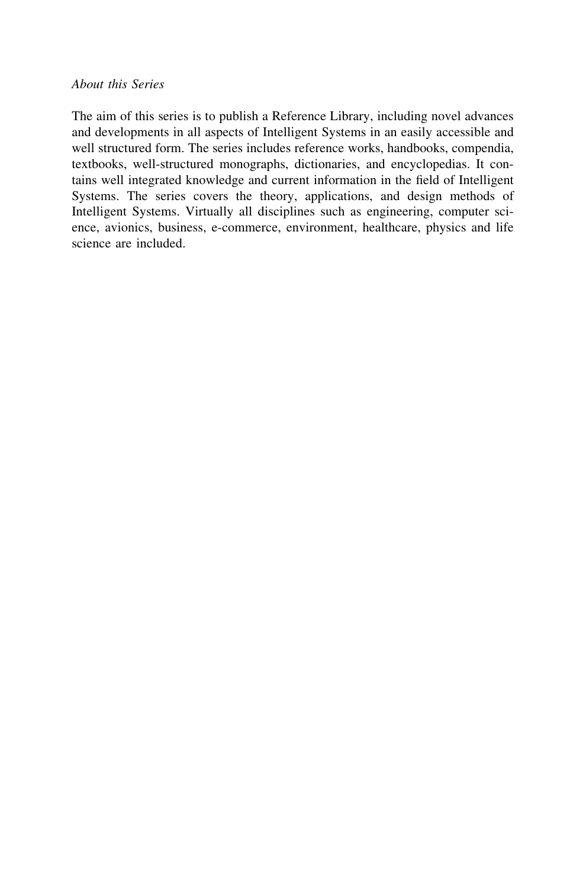#### About this Series

The aim of this series is to publish a Reference Library, including novel advances and developments in all aspects of Intelligent Systems in an easily accessible and well structured form. The series includes reference works, handbooks, compendia, textbooks, well-structured monographs, dictionaries, and encyclopedias. It contains well integrated knowledge and current information in the field of Intelligent Systems. The series covers the theory, applications, and design methods of Intelligent Systems. Virtually all disciplines such as engineering, computer science, avionics, business, e-commerce, environment, healthcare, physics and life science are included.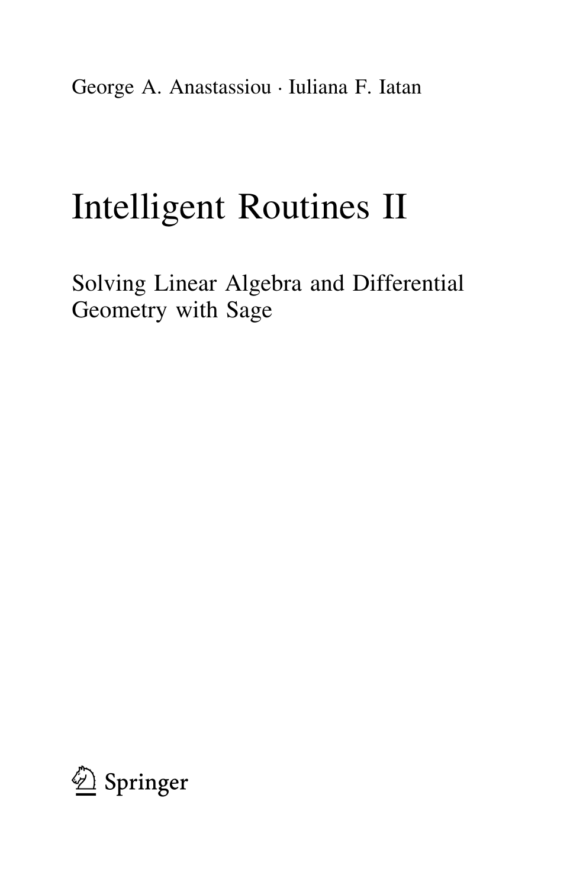George A. Anastassiou • Iuliana F. Iatan

# Intelligent Routines II

Solving Linear Algebra and Differential Geometry with Sage

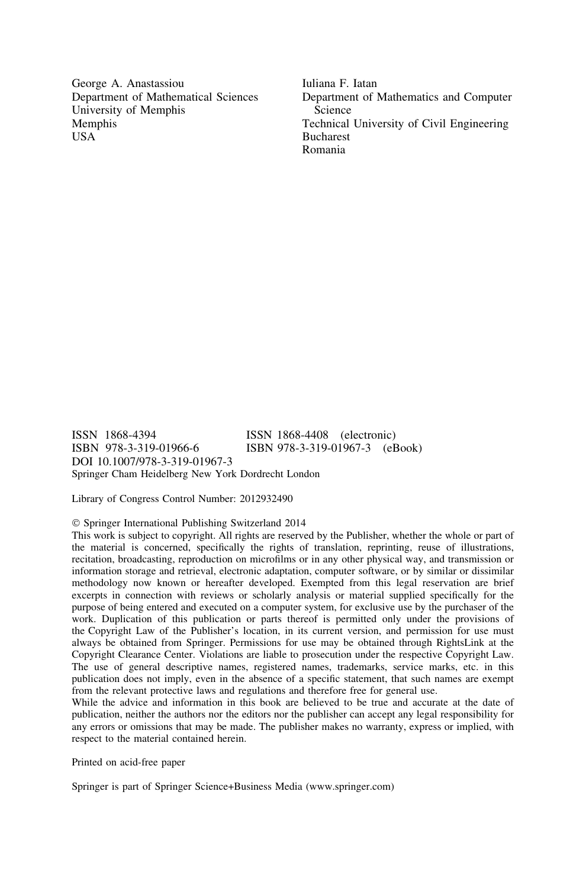George A. Anastassiou Department of Mathematical Sciences University of Memphis Memphis USA

Iuliana F. Iatan Department of Mathematics and Computer **Science** Technical University of Civil Engineering Bucharest Romania

ISSN 1868-4394<br>ISSN 978-3-319-01966-6<br>ISBN 978-3-319-01967-3 (eE ISBN 978-3-319-01967-3 (eBook) DOI 10.1007/978-3-319-01967-3 Springer Cham Heidelberg New York Dordrecht London

Library of Congress Control Number: 2012932490

- Springer International Publishing Switzerland 2014

This work is subject to copyright. All rights are reserved by the Publisher, whether the whole or part of the material is concerned, specifically the rights of translation, reprinting, reuse of illustrations, recitation, broadcasting, reproduction on microfilms or in any other physical way, and transmission or information storage and retrieval, electronic adaptation, computer software, or by similar or dissimilar methodology now known or hereafter developed. Exempted from this legal reservation are brief excerpts in connection with reviews or scholarly analysis or material supplied specifically for the purpose of being entered and executed on a computer system, for exclusive use by the purchaser of the work. Duplication of this publication or parts thereof is permitted only under the provisions of the Copyright Law of the Publisher's location, in its current version, and permission for use must always be obtained from Springer. Permissions for use may be obtained through RightsLink at the Copyright Clearance Center. Violations are liable to prosecution under the respective Copyright Law. The use of general descriptive names, registered names, trademarks, service marks, etc. in this publication does not imply, even in the absence of a specific statement, that such names are exempt from the relevant protective laws and regulations and therefore free for general use.

While the advice and information in this book are believed to be true and accurate at the date of publication, neither the authors nor the editors nor the publisher can accept any legal responsibility for any errors or omissions that may be made. The publisher makes no warranty, express or implied, with respect to the material contained herein.

Printed on acid-free paper

Springer is part of Springer Science+Business Media (www.springer.com)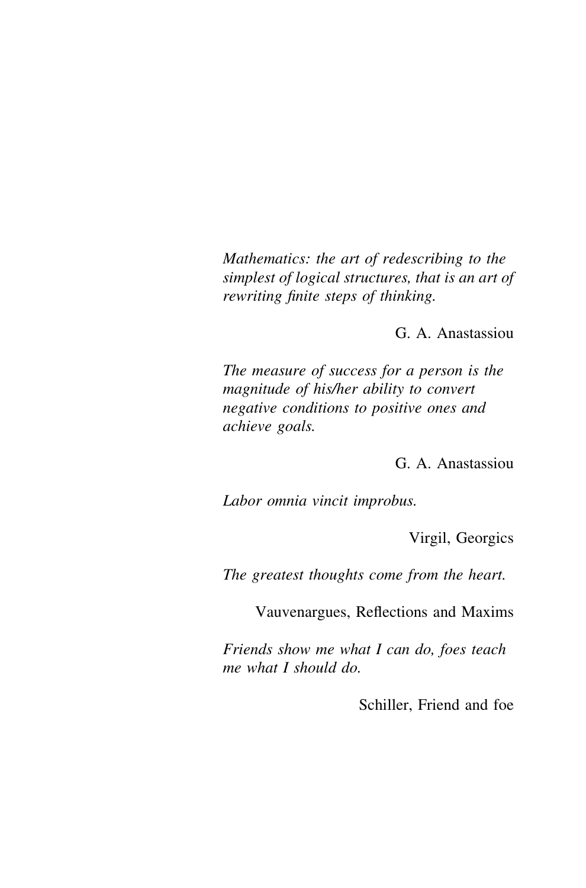Mathematics: the art of redescribing to the simplest of logical structures, that is an art of rewriting finite steps of thinking.

G. A. Anastassiou

The measure of success for a person is the magnitude of his/her ability to convert negative conditions to positive ones and achieve goals.

G. A. Anastassiou

Labor omnia vincit improbus.

Virgil, Georgics

The greatest thoughts come from the heart.

Vauvenargues, Reflections and Maxims

Friends show me what I can do, foes teach me what I should do.

Schiller, Friend and foe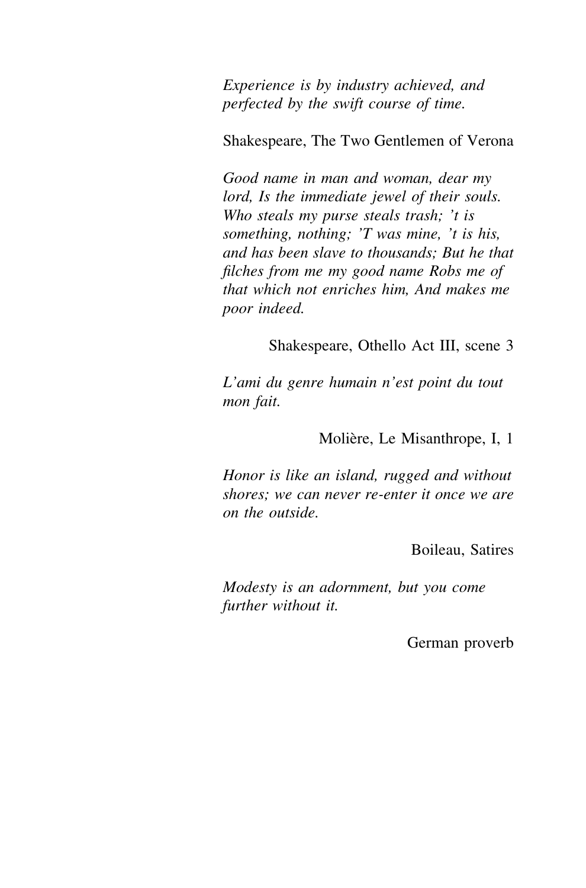Experience is by industry achieved, and perfected by the swift course of time.

Shakespeare, The Two Gentlemen of Verona

Good name in man and woman, dear my lord, Is the immediate jewel of their souls. Who steals my purse steals trash; 't is something, nothing; 'T was mine, 't is his, and has been slave to thousands; But he that filches from me my good name Robs me of that which not enriches him, And makes me poor indeed.

Shakespeare, Othello Act III, scene 3

L'ami du genre humain n'est point du tout mon fait.

Molière, Le Misanthrope, I, 1

Honor is like an island, rugged and without shores; we can never re-enter it once we are on the outside.

Boileau, Satires

Modesty is an adornment, but you come further without it.

German proverb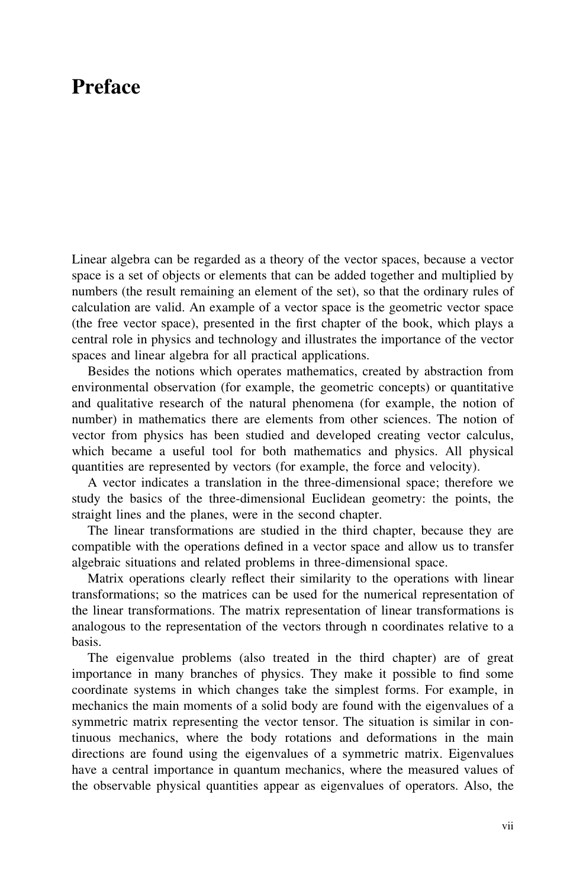### Preface

Linear algebra can be regarded as a theory of the vector spaces, because a vector space is a set of objects or elements that can be added together and multiplied by numbers (the result remaining an element of the set), so that the ordinary rules of calculation are valid. An example of a vector space is the geometric vector space (the free vector space), presented in the first chapter of the book, which plays a central role in physics and technology and illustrates the importance of the vector spaces and linear algebra for all practical applications.

Besides the notions which operates mathematics, created by abstraction from environmental observation (for example, the geometric concepts) or quantitative and qualitative research of the natural phenomena (for example, the notion of number) in mathematics there are elements from other sciences. The notion of vector from physics has been studied and developed creating vector calculus, which became a useful tool for both mathematics and physics. All physical quantities are represented by vectors (for example, the force and velocity).

A vector indicates a translation in the three-dimensional space; therefore we study the basics of the three-dimensional Euclidean geometry: the points, the straight lines and the planes, were in the second chapter.

The linear transformations are studied in the third chapter, because they are compatible with the operations defined in a vector space and allow us to transfer algebraic situations and related problems in three-dimensional space.

Matrix operations clearly reflect their similarity to the operations with linear transformations; so the matrices can be used for the numerical representation of the linear transformations. The matrix representation of linear transformations is analogous to the representation of the vectors through n coordinates relative to a basis.

The eigenvalue problems (also treated in the third chapter) are of great importance in many branches of physics. They make it possible to find some coordinate systems in which changes take the simplest forms. For example, in mechanics the main moments of a solid body are found with the eigenvalues of a symmetric matrix representing the vector tensor. The situation is similar in continuous mechanics, where the body rotations and deformations in the main directions are found using the eigenvalues of a symmetric matrix. Eigenvalues have a central importance in quantum mechanics, where the measured values of the observable physical quantities appear as eigenvalues of operators. Also, the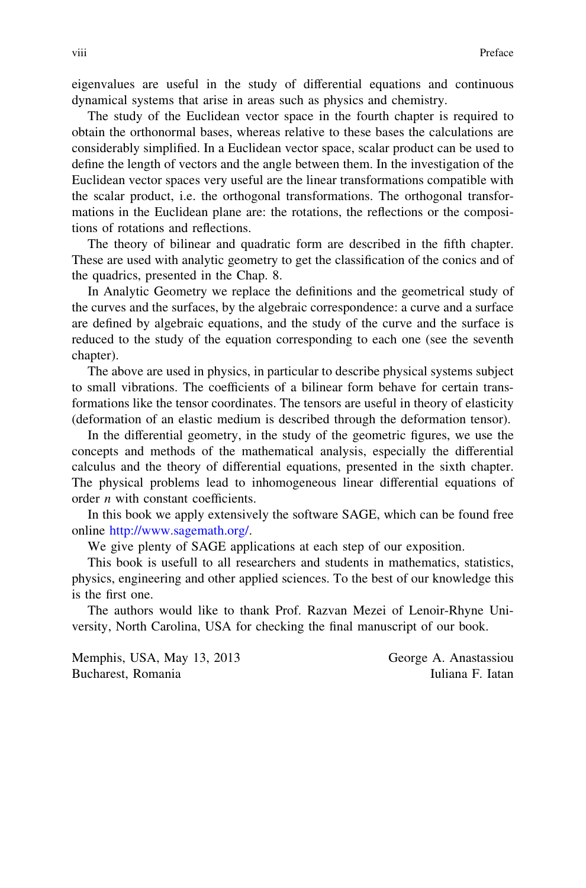eigenvalues are useful in the study of differential equations and continuous dynamical systems that arise in areas such as physics and chemistry.

The study of the Euclidean vector space in the fourth chapter is required to obtain the orthonormal bases, whereas relative to these bases the calculations are considerably simplified. In a Euclidean vector space, scalar product can be used to define the length of vectors and the angle between them. In the investigation of the Euclidean vector spaces very useful are the linear transformations compatible with the scalar product, i.e. the orthogonal transformations. The orthogonal transformations in the Euclidean plane are: the rotations, the reflections or the compositions of rotations and reflections.

The theory of bilinear and quadratic form are described in the fifth chapter. These are used with analytic geometry to get the classification of the conics and of the quadrics, presented in the Chap. 8.

In Analytic Geometry we replace the definitions and the geometrical study of the curves and the surfaces, by the algebraic correspondence: a curve and a surface are defined by algebraic equations, and the study of the curve and the surface is reduced to the study of the equation corresponding to each one (see the seventh chapter).

The above are used in physics, in particular to describe physical systems subject to small vibrations. The coefficients of a bilinear form behave for certain transformations like the tensor coordinates. The tensors are useful in theory of elasticity (deformation of an elastic medium is described through the deformation tensor).

In the differential geometry, in the study of the geometric figures, we use the concepts and methods of the mathematical analysis, especially the differential calculus and the theory of differential equations, presented in the sixth chapter. The physical problems lead to inhomogeneous linear differential equations of order n with constant coefficients.

In this book we apply extensively the software SAGE, which can be found free online [http://www.sagemath.org/.](http://www.sagemath.org/)

We give plenty of SAGE applications at each step of our exposition.

This book is usefull to all researchers and students in mathematics, statistics, physics, engineering and other applied sciences. To the best of our knowledge this is the first one.

The authors would like to thank Prof. Razvan Mezei of Lenoir-Rhyne University, North Carolina, USA for checking the final manuscript of our book.

Memphis, USA, May 13, 2013 George A. Anastassiou Bucharest, Romania **Iuliana F. Iatan**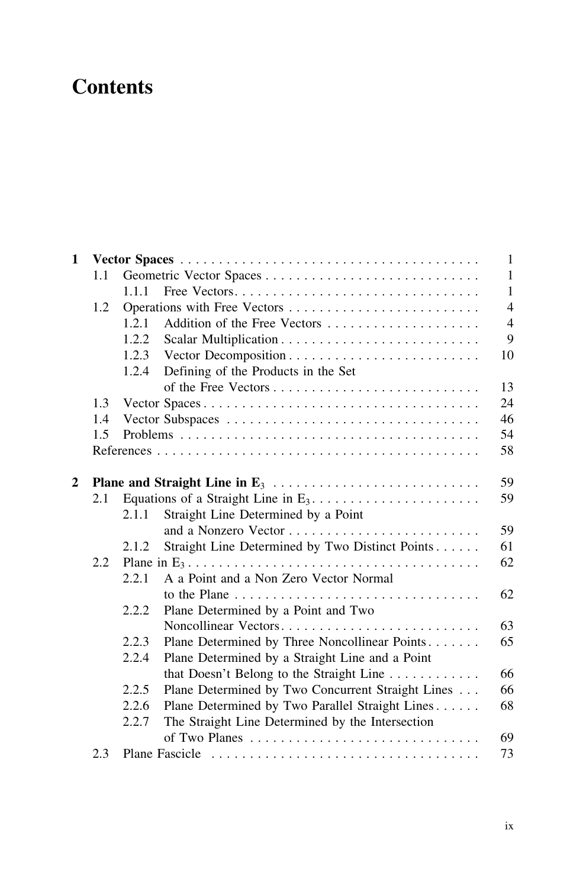# **Contents**

| 1            |     |       |                                                              | 1              |
|--------------|-----|-------|--------------------------------------------------------------|----------------|
|              | 1.1 |       |                                                              | $\mathbf{1}$   |
|              |     | 1.1.1 |                                                              | $\mathbf{1}$   |
|              | 1.2 |       | Operations with Free Vectors                                 | $\overline{4}$ |
|              |     | 1.2.1 |                                                              | $\overline{4}$ |
|              |     | 1.2.2 |                                                              | 9              |
|              |     | 1.2.3 |                                                              | 10             |
|              |     | 1.2.4 | Defining of the Products in the Set                          |                |
|              |     |       |                                                              | 13             |
|              | 1.3 |       |                                                              | 24             |
|              | 1.4 |       |                                                              | 46             |
|              | 1.5 |       |                                                              | 54             |
|              |     |       |                                                              | 58             |
| $\mathbf{2}$ |     |       |                                                              | 59             |
|              | 2.1 |       |                                                              | 59             |
|              |     | 2.1.1 | Straight Line Determined by a Point                          |                |
|              |     |       |                                                              | 59             |
|              |     | 2.1.2 | Straight Line Determined by Two Distinct Points              | 61             |
|              | 2.2 |       |                                                              | 62             |
|              |     | 2.2.1 | A a Point and a Non Zero Vector Normal                       |                |
|              |     |       |                                                              | 62             |
|              |     | 2.2.2 | Plane Determined by a Point and Two                          |                |
|              |     |       | Noncollinear Vectors                                         | 63             |
|              |     | 2.2.3 | Plane Determined by Three Noncollinear Points                | 65             |
|              |     | 2.2.4 | Plane Determined by a Straight Line and a Point              |                |
|              |     |       | that Doesn't Belong to the Straight Line $\dots \dots \dots$ | 66             |
|              |     | 2.2.5 | Plane Determined by Two Concurrent Straight Lines            | 66             |
|              |     | 2.2.6 | Plane Determined by Two Parallel Straight Lines              | 68             |
|              |     | 2.2.7 | The Straight Line Determined by the Intersection             |                |
|              |     |       |                                                              | 69             |
|              | 2.3 |       |                                                              | 73             |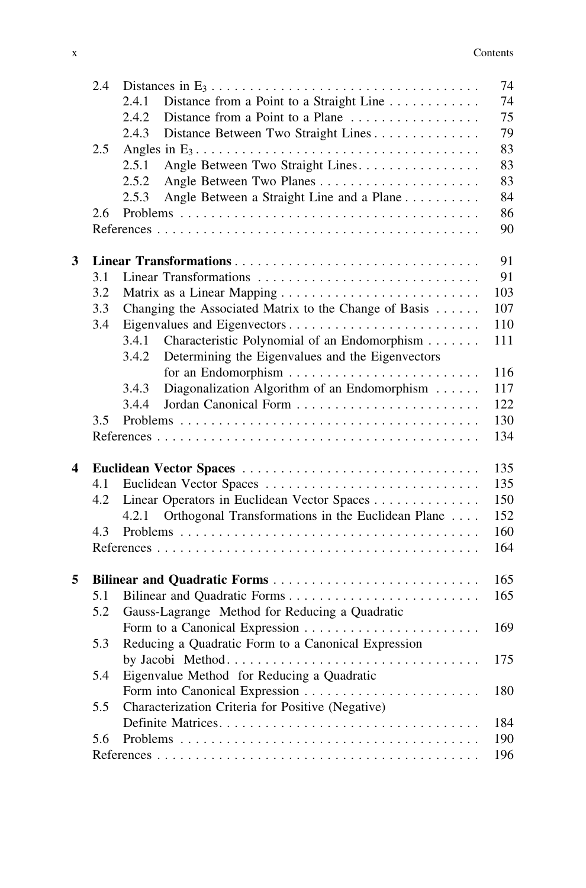|   | 2.4 |                                                            | 74  |
|---|-----|------------------------------------------------------------|-----|
|   |     | 2.4.1<br>Distance from a Point to a Straight Line          | 74  |
|   |     | 2.4.2<br>Distance from a Point to a Plane                  | 75  |
|   |     | Distance Between Two Straight Lines<br>2.4.3               | 79  |
|   | 2.5 |                                                            | 83  |
|   |     | 2.5.1<br>Angle Between Two Straight Lines.                 | 83  |
|   |     | 2.5.2                                                      | 83  |
|   |     | 2.5.3<br>Angle Between a Straight Line and a Plane         | 84  |
|   | 2.6 |                                                            | 86  |
|   |     |                                                            | 90  |
| 3 |     |                                                            | 91  |
|   | 3.1 | Linear Transformations                                     | 91  |
|   | 3.2 |                                                            | 103 |
|   | 3.3 | Changing the Associated Matrix to the Change of Basis      | 107 |
|   | 3.4 |                                                            | 110 |
|   |     | Characteristic Polynomial of an Endomorphism<br>3.4.1      | 111 |
|   |     |                                                            |     |
|   |     | Determining the Eigenvalues and the Eigenvectors<br>3.4.2  |     |
|   |     |                                                            | 116 |
|   |     | Diagonalization Algorithm of an Endomorphism<br>3.4.3      | 117 |
|   |     | 3.4.4                                                      | 122 |
|   | 3.5 |                                                            | 130 |
|   |     |                                                            | 134 |
| 4 |     | Euclidean Vector Spaces                                    | 135 |
|   | 4.1 | Euclidean Vector Spaces                                    | 135 |
|   | 4.2 | Linear Operators in Euclidean Vector Spaces                | 150 |
|   |     | Orthogonal Transformations in the Euclidean Plane<br>4.2.1 | 152 |
|   | 4.3 |                                                            | 160 |
|   |     |                                                            | 164 |
| 5 |     |                                                            | 165 |
|   | 5.1 | Bilinear and Quadratic Forms                               | 165 |
|   | 5.2 | Gauss-Lagrange Method for Reducing a Quadratic             |     |
|   |     |                                                            | 169 |
|   | 5.3 | Reducing a Quadratic Form to a Canonical Expression        |     |
|   |     |                                                            | 175 |
|   |     | Eigenvalue Method for Reducing a Quadratic                 |     |
|   | 5.4 |                                                            |     |
|   |     |                                                            | 180 |
|   | 5.5 | Characterization Criteria for Positive (Negative)          |     |
|   |     |                                                            | 184 |
|   | 5.6 |                                                            | 190 |
|   |     |                                                            | 196 |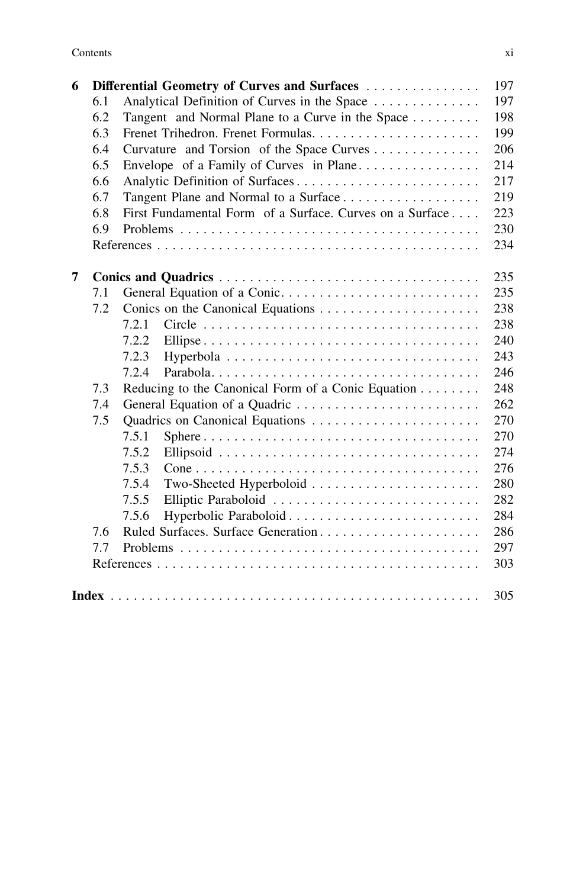| Contents | X1 |
|----------|----|
|          |    |

| 6 |     | Differential Geometry of Curves and Surfaces             | 197 |
|---|-----|----------------------------------------------------------|-----|
|   | 6.1 | Analytical Definition of Curves in the Space             | 197 |
|   | 6.2 | Tangent and Normal Plane to a Curve in the Space         | 198 |
|   | 6.3 |                                                          | 199 |
|   | 6.4 | Curvature and Torsion of the Space Curves                | 206 |
|   | 6.5 | Envelope of a Family of Curves in Plane                  | 214 |
|   | 6.6 | Analytic Definition of Surfaces                          | 217 |
|   | 6.7 | Tangent Plane and Normal to a Surface                    | 219 |
|   | 6.8 | First Fundamental Form of a Surface. Curves on a Surface | 223 |
|   | 6.9 |                                                          | 230 |
|   |     |                                                          | 234 |
| 7 |     |                                                          | 235 |
|   | 7.1 |                                                          | 235 |
|   | 7.2 |                                                          | 238 |
|   |     | 7.2.1                                                    | 238 |
|   |     | 7.2.2                                                    | 240 |
|   |     | 7.2.3                                                    | 243 |
|   |     | 7.2.4                                                    | 246 |
|   | 7.3 | Reducing to the Canonical Form of a Conic Equation       | 248 |
|   | 7.4 |                                                          | 262 |
|   | 7.5 | Quadrics on Canonical Equations                          | 270 |
|   |     | 7.5.1                                                    | 270 |
|   |     | 7.5.2                                                    | 274 |
|   |     | 7.5.3                                                    | 276 |
|   |     | 7.5.4                                                    | 280 |
|   |     | 7.5.5<br>Elliptic Paraboloid                             | 282 |
|   |     | 7.5.6<br>Hyperbolic Paraboloid                           | 284 |
|   | 7.6 | Ruled Surfaces. Surface Generation                       | 286 |
|   | 7.7 |                                                          | 297 |
|   |     |                                                          | 303 |
|   |     |                                                          | 305 |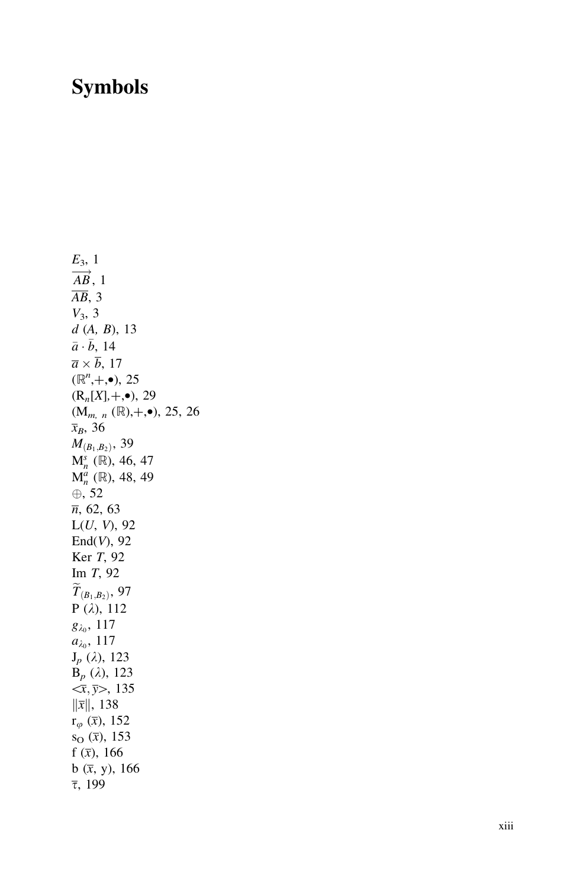## **Symbols**

 $E_3$ , 1  $\overrightarrow{AB}$ , 1  $\overline{AB}$ , 3  $V_3$ , 3  $d(A, B), 13$  $\bar{a} \cdot \bar{b}$ , 14  $\overline{a} \times \overline{b}$ , 17  $(\mathbb{R}^n,+,\bullet)$ , 25  $(R_n[X], +, \bullet), 29$  $(M_{m, n} (\mathbb{R}), +, \bullet), 25, 26$  $\overline{x}_R$ , 36  $M_{(B_1,B_2)}$ , 39  $M_n^s$  (R), 46, 47  $M_n^a$  (R), 48, 49  $\oplus$ , 52  $\bar{n}$ , 62, 63  $L(U, V), 92$  $End(V), 92$ Ker T, 92 Im  $T$ , 92  $\widetilde{T}_{(B_1,B_2)}$ , 97  $P(\lambda)$ , 112  $g_{\lambda_0}$ , 117  $a_{\lambda_0}$ , 117  $J_p(\lambda)$ , 123  $\mathbf{B}_p$  ( $\lambda$ ), 123  $\langle \overline{x}, \overline{y} \rangle$ , 135  $\|\bar{x}\|, 138$  $r_{\varphi}(\bar{x}), 152$  $s_{O}(\bar{x})$ , 153 f  $(\bar{x})$ , 166  $b(x, y), 166$  $\overline{\tau}$ , 199